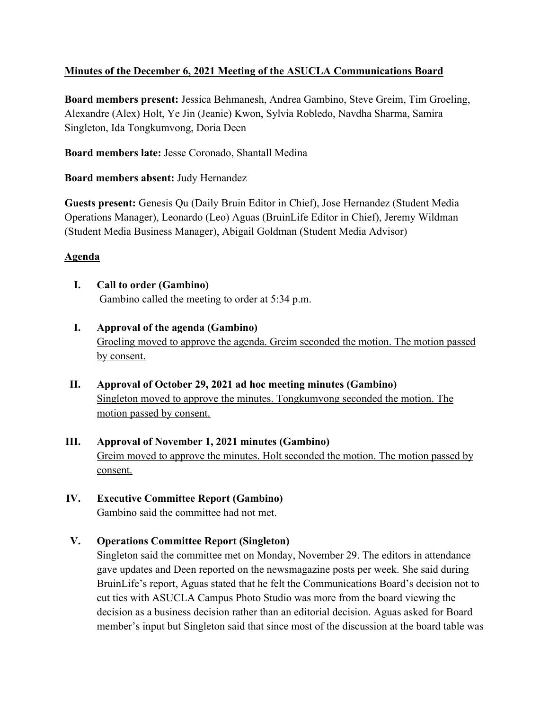## **Minutes of the December 6, 2021 Meeting of the ASUCLA Communications Board**

**Board members present:** Jessica Behmanesh, Andrea Gambino, Steve Greim, Tim Groeling, Alexandre (Alex) Holt, Ye Jin (Jeanie) Kwon, Sylvia Robledo, Navdha Sharma, Samira Singleton, Ida Tongkumvong, Doria Deen

**Board members late:** Jesse Coronado, Shantall Medina

**Board members absent:** Judy Hernandez

**Guests present:** Genesis Qu (Daily Bruin Editor in Chief), Jose Hernandez (Student Media Operations Manager), Leonardo (Leo) Aguas (BruinLife Editor in Chief), Jeremy Wildman (Student Media Business Manager), Abigail Goldman (Student Media Advisor)

## **Agenda**

- **I. Call to order (Gambino)** Gambino called the meeting to order at 5:34 p.m.
- **I. Approval of the agenda (Gambino)** Groeling moved to approve the agenda. Greim seconded the motion. The motion passed by consent.
- **II. Approval of October 29, 2021 ad hoc meeting minutes (Gambino)** Singleton moved to approve the minutes. Tongkumvong seconded the motion. The motion passed by consent.
- **III. Approval of November 1, 2021 minutes (Gambino)** Greim moved to approve the minutes. Holt seconded the motion. The motion passed by consent.
- **IV. Executive Committee Report (Gambino)** Gambino said the committee had not met.
- **V. Operations Committee Report (Singleton)**

Singleton said the committee met on Monday, November 29. The editors in attendance gave updates and Deen reported on the newsmagazine posts per week. She said during BruinLife's report, Aguas stated that he felt the Communications Board's decision not to cut ties with ASUCLA Campus Photo Studio was more from the board viewing the decision as a business decision rather than an editorial decision. Aguas asked for Board member's input but Singleton said that since most of the discussion at the board table was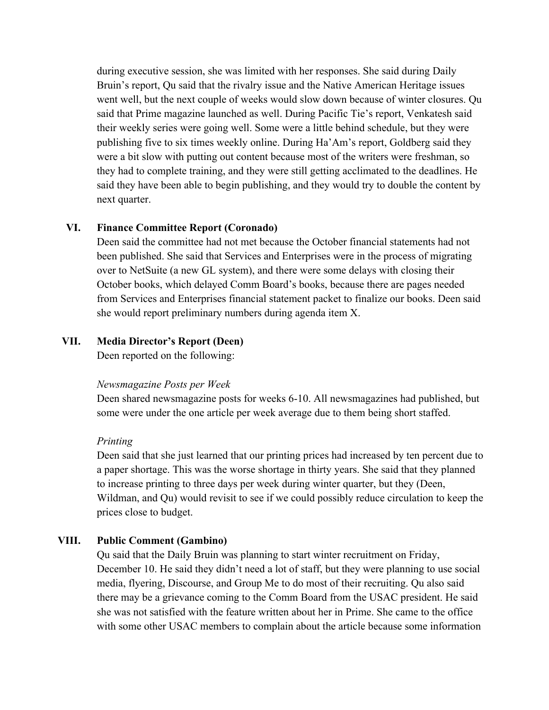during executive session, she was limited with her responses. She said during Daily Bruin's report, Qu said that the rivalry issue and the Native American Heritage issues went well, but the next couple of weeks would slow down because of winter closures. Qu said that Prime magazine launched as well. During Pacific Tie's report, Venkatesh said their weekly series were going well. Some were a little behind schedule, but they were publishing five to six times weekly online. During Ha'Am's report, Goldberg said they were a bit slow with putting out content because most of the writers were freshman, so they had to complete training, and they were still getting acclimated to the deadlines. He said they have been able to begin publishing, and they would try to double the content by next quarter.

## **VI. Finance Committee Report (Coronado)**

Deen said the committee had not met because the October financial statements had not been published. She said that Services and Enterprises were in the process of migrating over to NetSuite (a new GL system), and there were some delays with closing their October books, which delayed Comm Board's books, because there are pages needed from Services and Enterprises financial statement packet to finalize our books. Deen said she would report preliminary numbers during agenda item X.

#### **VII. Media Director's Report (Deen)**

Deen reported on the following:

#### *Newsmagazine Posts per Week*

Deen shared newsmagazine posts for weeks 6-10. All newsmagazines had published, but some were under the one article per week average due to them being short staffed.

#### *Printing*

Deen said that she just learned that our printing prices had increased by ten percent due to a paper shortage. This was the worse shortage in thirty years. She said that they planned to increase printing to three days per week during winter quarter, but they (Deen, Wildman, and Qu) would revisit to see if we could possibly reduce circulation to keep the prices close to budget.

### **VIII. Public Comment (Gambino)**

Qu said that the Daily Bruin was planning to start winter recruitment on Friday, December 10. He said they didn't need a lot of staff, but they were planning to use social media, flyering, Discourse, and Group Me to do most of their recruiting. Qu also said there may be a grievance coming to the Comm Board from the USAC president. He said she was not satisfied with the feature written about her in Prime. She came to the office with some other USAC members to complain about the article because some information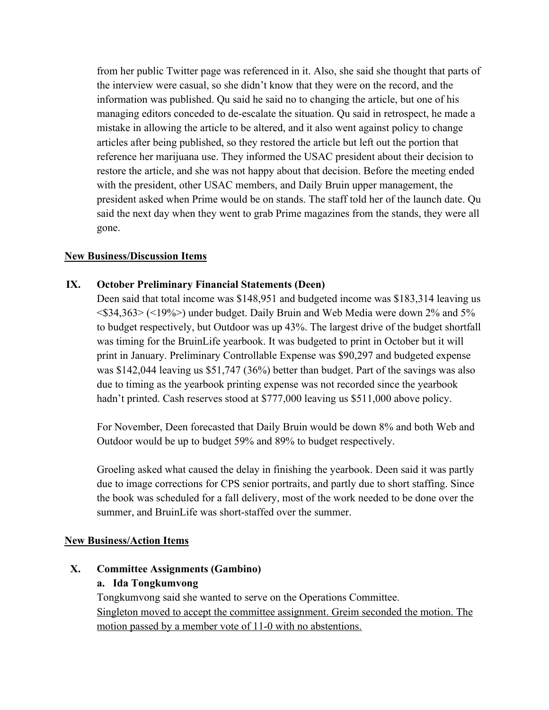from her public Twitter page was referenced in it. Also, she said she thought that parts of the interview were casual, so she didn't know that they were on the record, and the information was published. Qu said he said no to changing the article, but one of his managing editors conceded to de-escalate the situation. Qu said in retrospect, he made a mistake in allowing the article to be altered, and it also went against policy to change articles after being published, so they restored the article but left out the portion that reference her marijuana use. They informed the USAC president about their decision to restore the article, and she was not happy about that decision. Before the meeting ended with the president, other USAC members, and Daily Bruin upper management, the president asked when Prime would be on stands. The staff told her of the launch date. Qu said the next day when they went to grab Prime magazines from the stands, they were all gone.

## **New Business/Discussion Items**

## **IX. October Preliminary Financial Statements (Deen)**

Deen said that total income was \$148,951 and budgeted income was \$183,314 leaving us <\$34,363> (<19%>) under budget. Daily Bruin and Web Media were down 2% and 5% to budget respectively, but Outdoor was up 43%. The largest drive of the budget shortfall was timing for the BruinLife yearbook. It was budgeted to print in October but it will print in January. Preliminary Controllable Expense was \$90,297 and budgeted expense was \$142,044 leaving us \$51,747 (36%) better than budget. Part of the savings was also due to timing as the yearbook printing expense was not recorded since the yearbook hadn't printed. Cash reserves stood at \$777,000 leaving us \$511,000 above policy.

For November, Deen forecasted that Daily Bruin would be down 8% and both Web and Outdoor would be up to budget 59% and 89% to budget respectively.

Groeling asked what caused the delay in finishing the yearbook. Deen said it was partly due to image corrections for CPS senior portraits, and partly due to short staffing. Since the book was scheduled for a fall delivery, most of the work needed to be done over the summer, and BruinLife was short-staffed over the summer.

### **New Business/Action Items**

### **X. Committee Assignments (Gambino)**

### **a. Ida Tongkumvong**

Tongkumvong said she wanted to serve on the Operations Committee. Singleton moved to accept the committee assignment. Greim seconded the motion. The motion passed by a member vote of 11-0 with no abstentions.